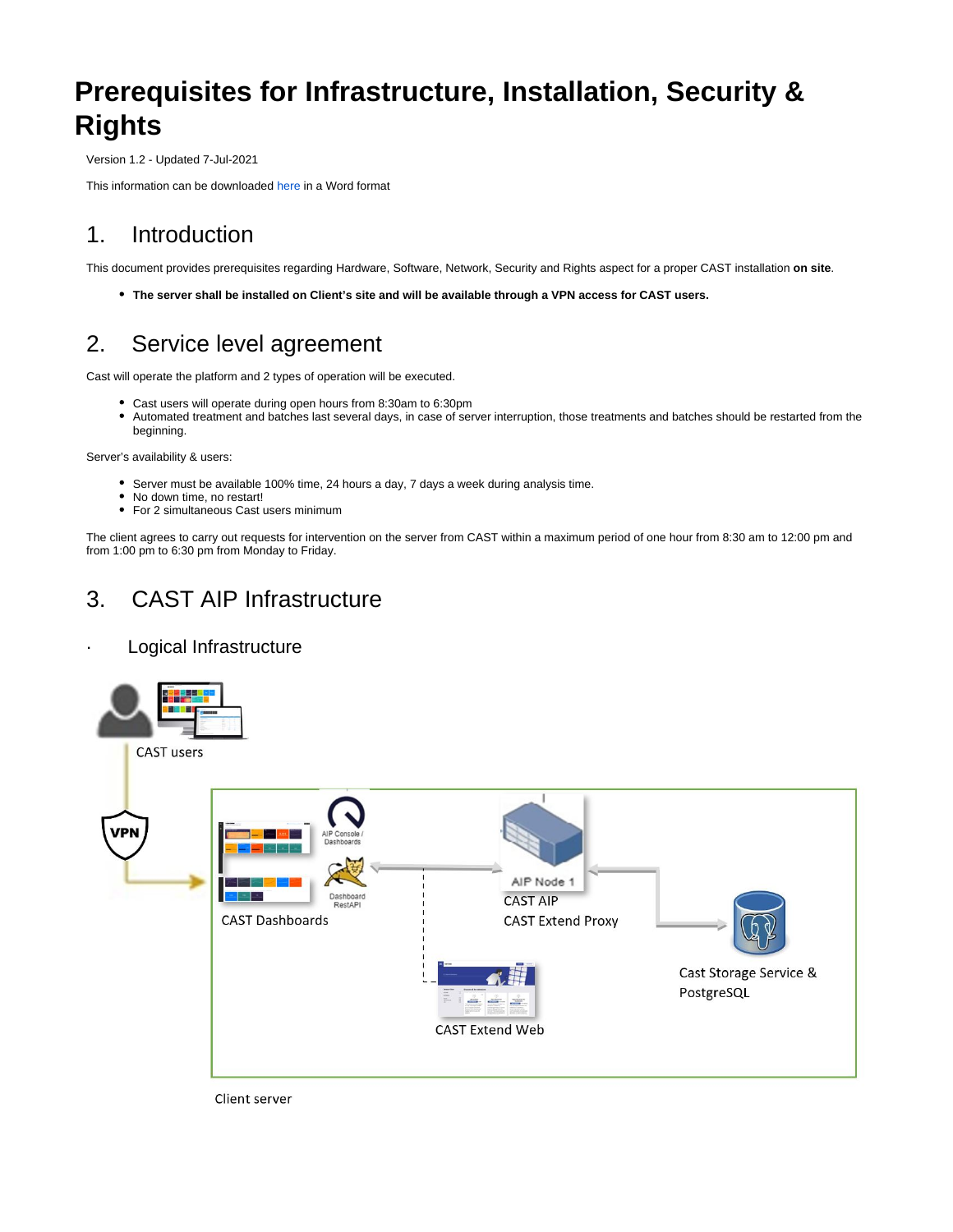# **Prerequisites for Infrastructure, Installation, Security & Rights**

Version 1.2 - Updated 7-Jul-2021

This information can be downloaded [here](https://doc.castsoftware.com/download/attachments/492535890/Prerequisites%20CAST%20V1.0.docx?version=1&modificationDate=1617184588900&api=v2) in a Word format

### 1. Introduction

This document provides prerequisites regarding Hardware, Software, Network, Security and Rights aspect for a proper CAST installation **on site**.

**The server shall be installed on Client's site and will be available through a VPN access for CAST users.**

# 2. Service level agreement

Cast will operate the platform and 2 types of operation will be executed.

- Cast users will operate during open hours from 8:30am to 6:30pm
- Automated treatment and batches last several days, in case of server interruption, those treatments and batches should be restarted from the beginning.

Server's availability & users:

- Server must be available 100% time, 24 hours a day, 7 days a week during analysis time.
- No down time, no restart!
- For 2 simultaneous Cast users minimum

The client agrees to carry out requests for intervention on the server from CAST within a maximum period of one hour from 8:30 am to 12:00 pm and from 1:00 pm to 6:30 pm from Monday to Friday.

# 3. CAST AIP Infrastructure

### Logical Infrastructure



Client server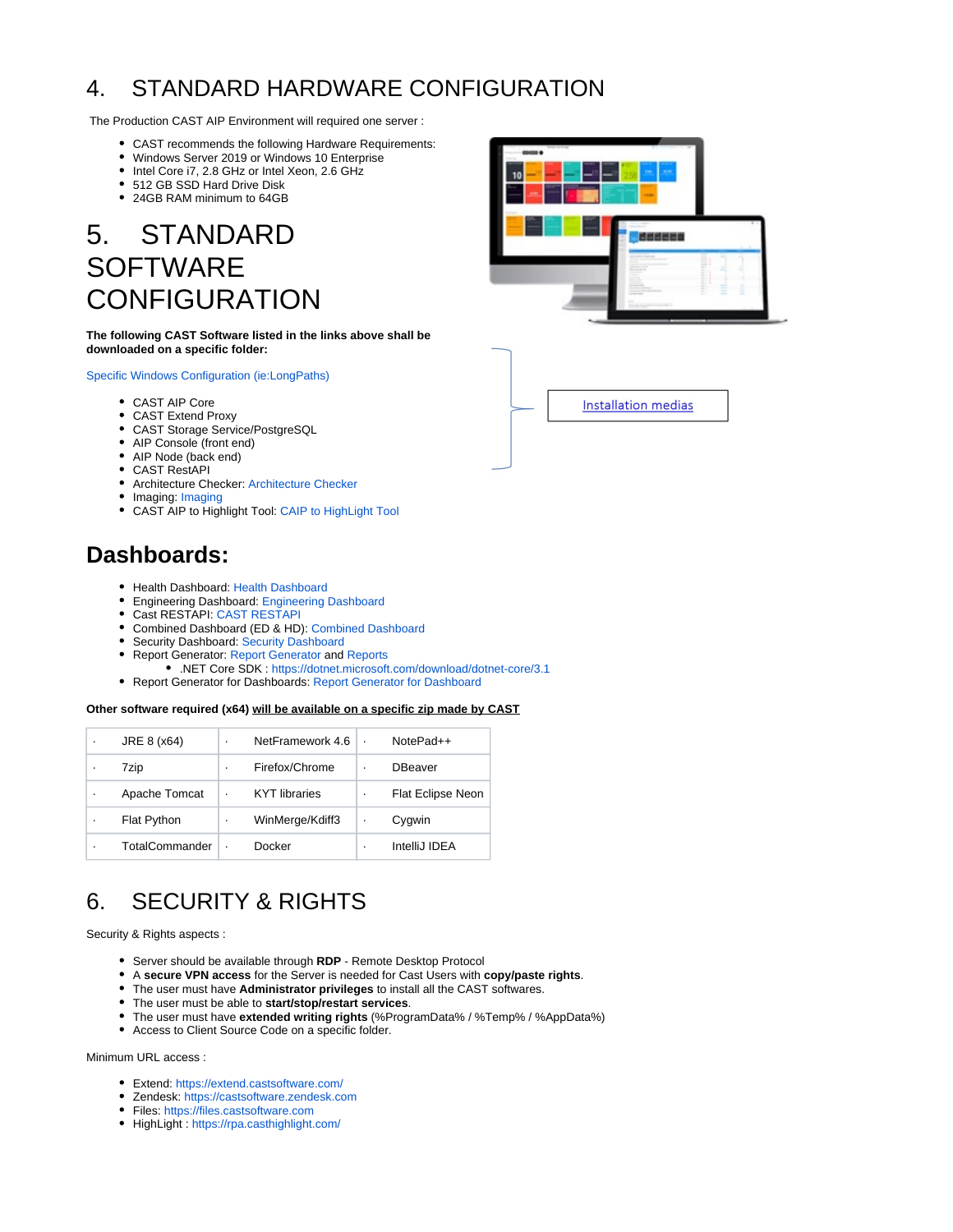# 4. STANDARD HARDWARE CONFIGURATION

The Production CAST AIP Environment will required one server :

- CAST recommends the following Hardware Requirements:
- Windows Server 2019 or Windows 10 Enterprise
- Intel Core i7, 2.8 GHz or Intel Xeon, 2.6 GHz
- 512 GB SSD Hard Drive Disk
- 24GB RAM minimum to 64GB

# 5. STANDARD **SOFTWARE CONFIGURATION**

#### **The following CAST Software listed in the links above shall be downloaded on a specific folder:**

[Specific Windows Configuration \(ie:LongPaths\)](https://doc.castsoftware.com/display/AIPCORE/General+notices)

- CAST AIP Core
- CAST Extend Proxy
- CAST Storage Service/PostgreSQL
- AIP Console (front end)
- AIP Node (back end)
- CAST RestAPI
- Architecture Checker: [Architecture Checker](https://extendng.castsoftware.com/#/extension?id=com.castsoftware.aip.archichecker&version=latest)
- • [Imaging](https://extend.castsoftware.com/#/extension?id=com.castsoftware.imaging&version=latest): Imaging
- CAST AIP to Highlight Tool: [CAIP to HighLight Tool](https://extend.castsoftware.com/%23/extension?id=com.castsoftware.uc.aip2hl&version=1.1.0)

### **Dashboards:**

- Health Dashboard: [Health Dashboard](https://extend.castsoftware.com/#/extension?id=com.castsoftware.aip.dashboard.health&version=latest)
- Engineering Dashboard: [Engineering Dashboard](https://extend.castsoftware.com/#/extension?id=com.castsoftware.aip.dashboard.engineering&version=latest)
- Cast RESTAPI: [CAST RESTAPI](https://extend.castsoftware.com/#/extension?id=com.castsoftware.aip.dashboard.restapi&version=latest)
- Combined Dashboard (ED & HD): [Combined Dashboard](https://extend.castsoftware.com/#/extension?id=com.castsoftware.aip.dashboard&version=latest)
- Security Dashboard: [Security Dashboard](https://extend.castsoftware.com/#/extension?id=com.castsoftware.aip.dashboard.security&version=latest)
- Report Generator: [Report Generator](https://extend.castsoftware.com/#/extension?id=com.castsoftware.aip.reportgenerator&version=latest) and [Reports](https://confluence.castsoftware.com/display/WwSEs/Template+for+automatic+report+generation)
- .NET Core SDK : <https://dotnet.microsoft.com/download/dotnet-core/3.1>
- • [Report Generator for Dashboard](https://extend.castsoftware.com/#/extension?id=com.castsoftware.aip.reportgeneratorfordashboard&version=latest)s: Report Generator for Dashboard

#### **Other software required (x64) will be available on a specific zip made by CAST**

| ٠ | JRE 8 (x64)           | ٠ | NetFramework 4.6     | $\cdot$ | NotePad++                |
|---|-----------------------|---|----------------------|---------|--------------------------|
|   | 7zip                  | ٠ | Firefox/Chrome       | ٠       | <b>DBeaver</b>           |
|   | Apache Tomcat         | ٠ | <b>KYT</b> libraries | ٠       | <b>Flat Eclipse Neon</b> |
| ٠ | <b>Flat Python</b>    | ٠ | WinMerge/Kdiff3      | ٠       | Cygwin                   |
|   | <b>TotalCommander</b> |   | Docker               | ٠       | IntelliJ IDEA            |

## 6. SECURITY & RIGHTS

Security & Rights aspects :

- Server should be available through **RDP** Remote Desktop Protocol
- A **secure VPN access** for the Server is needed for Cast Users with **copy/paste rights**.
- The user must have **Administrator privileges** to install all the CAST softwares.
- The user must be able to **start/stop/restart services**.
- The user must have **extended writing rights** (%ProgramData% / %Temp% / %AppData%)
- Access to Client Source Code on a specific folder.

#### Minimum URL access :

- Extend:<https://extend.castsoftware.com/>
- Zendesk:<https://castsoftware.zendesk.com>
- Files: <https://files.castsoftware.com>
- HighLight :<https://rpa.casthighlight.com/>



Installation medias